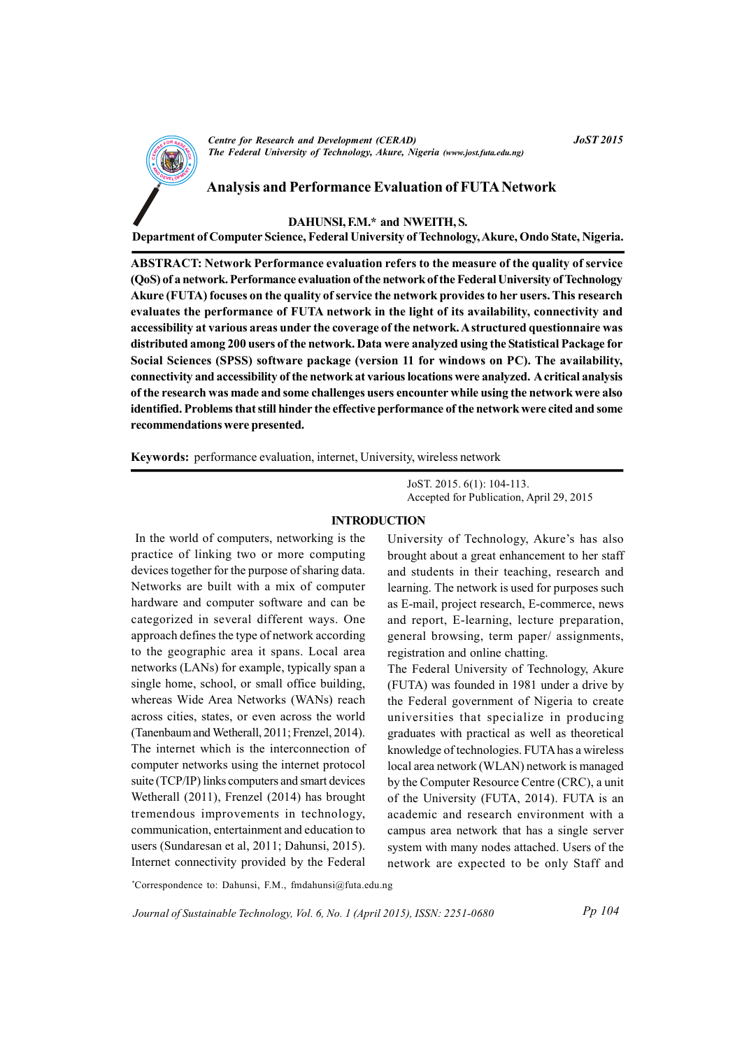

**Centre for Research and Development (CERAD)** The Federal University of Technology, Akure, Nigeria (www.jost.futa.edu.ng) **JoST 2015** 

### **Analysis and Performance Evaluation of FUTA Network**

DAHUNSI, F.M.\* and NWEITH, S.

Department of Computer Science, Federal University of Technology, Akure, Ondo State, Nigeria.

ABSTRACT: Network Performance evaluation refers to the measure of the quality of service (QoS) of a network. Performance evaluation of the network of the Federal University of Technology Akure (FUTA) focuses on the quality of service the network provides to her users. This research evaluates the performance of FUTA network in the light of its availability, connectivity and accessibility at various areas under the coverage of the network. A structured questionnaire was distributed among 200 users of the network. Data were analyzed using the Statistical Package for Social Sciences (SPSS) software package (version 11 for windows on PC). The availability, connectivity and accessibility of the network at various locations were analyzed. A critical analysis of the research was made and some challenges users encounter while using the network were also identified. Problems that still hinder the effective performance of the network were cited and some recommendations were presented.

**Keywords:** performance evaluation, internet, University, wireless network

JoST. 2015. 6(1): 104-113. Accepted for Publication, April 29, 2015

#### **INTRODUCTION**

In the world of computers, networking is the practice of linking two or more computing devices together for the purpose of sharing data. Networks are built with a mix of computer hardware and computer software and can be categorized in several different ways. One approach defines the type of network according to the geographic area it spans. Local area networks (LANs) for example, typically span a single home, school, or small office building, whereas Wide Area Networks (WANs) reach across cities, states, or even across the world (Tanenbaum and Wetherall, 2011; Frenzel, 2014). The internet which is the interconnection of computer networks using the internet protocol suite (TCP/IP) links computers and smart devices Wetherall (2011), Frenzel (2014) has brought tremendous improvements in technology, communication, entertainment and education to users (Sundaresan et al. 2011; Dahunsi, 2015). Internet connectivity provided by the Federal

University of Technology, Akure's has also brought about a great enhancement to her staff and students in their teaching, research and learning. The network is used for purposes such as E-mail, project research, E-commerce, news and report, E-learning, lecture preparation, general browsing, term paper/assignments, registration and online chatting.

The Federal University of Technology, Akure (FUTA) was founded in 1981 under a drive by the Federal government of Nigeria to create universities that specialize in producing graduates with practical as well as theoretical knowledge of technologies. FUTA has a wireless local area network (WLAN) network is managed by the Computer Resource Centre (CRC), a unit of the University (FUTA, 2014). FUTA is an academic and research environment with a campus area network that has a single server system with many nodes attached. Users of the network are expected to be only Staff and

\*Correspondence to: Dahunsi, F.M., fmdahunsi@futa.edu.ng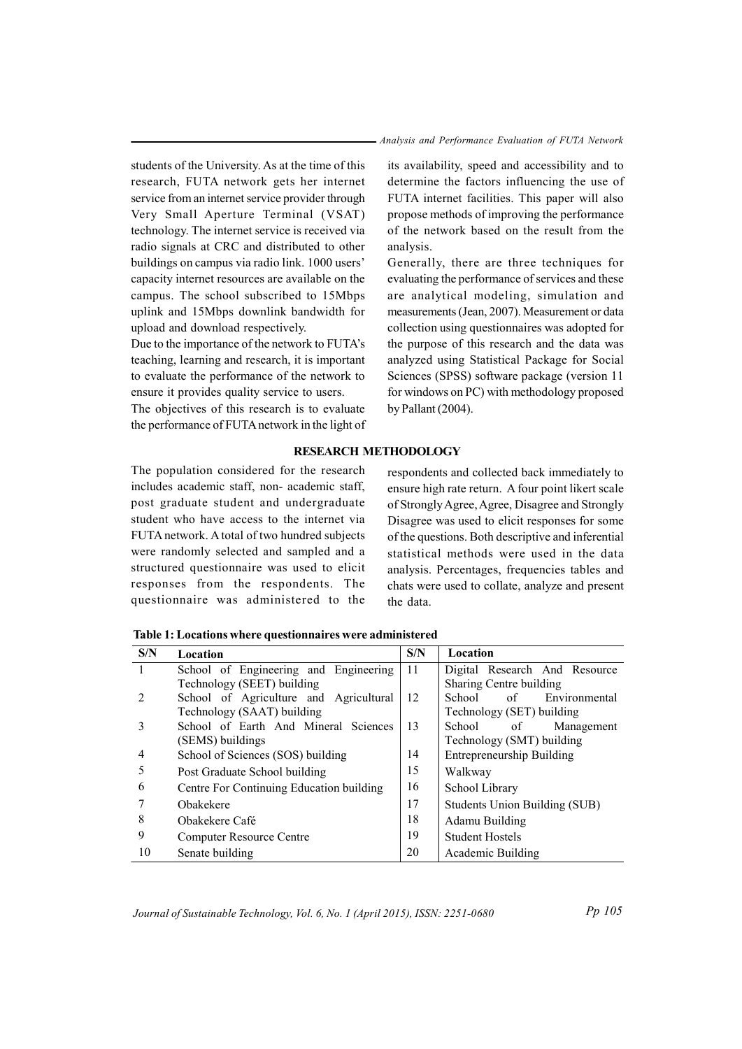*Analysis and Performance Evaluation of FUTA Network* 

students of the University. As at the time of this research, FUTA network gets her internet service from an internet service provider through Very Small Aperture Terminal (VSAT) te chnology. The internet service is received via radio signals at CRC and distributed to other buildings on campus via radio link. 1000 users' capacity internet resources are available on the campus. The school subscribed to 15Mbps uplink and 15Mbps downlink bandwidth for upload and download respectively.

Due to the importance of the network to FUTA's teaching, learning and research, it is important to evaluate the performance of the network to ensure it provides quality service to users.

The objectives of this research is to evaluate the performance of FUTA network in the light of

its availability, speed and accessibility and to determine the factors influencing the use of FUTA internet facilities. This paper will also propose methods of improving the performance of the network based on the result from the analysis.

Generally, there are three techniques for evaluating the performance of services and these are analytical modeling, simulation and measurements (Jean, 2007). Measurement or data collection using questionnaires was adopted for the purpose of this research and the data was analyzed using Statistical Package for Social Sciences (SPSS) software package (version 11 for windows on PC) with methodology proposed by Pallant  $(2004)$ .

# **RESEARCH METHODOLOGY**

The population considered for the research includes academic staff, non- academic staff, post graduate student and undergraduate student who have access to the internet via FUTA network. A total of two hundred subjects were randomly selected and sampled and a structured questionnaire was used to elicit responses from the respondents. The questionnaire was administered to the

respondents and collected back immediately to ensure high rate return. A four point likert scale of Strongly Agree, Agree, Disagree and Strongly Disagree was used to elicit responses for some of the questions. Both descriptive and inferential statistical methods were used in the data analysis. Percentages, frequencies tables and chats were used to collate, analyze and present the data.

Table 1: Locations where questionnaires were administered

| S/N            | Location                                 | S/N | Location                         |  |  |
|----------------|------------------------------------------|-----|----------------------------------|--|--|
| $\mathbf{1}$   | School of Engineering and Engineering    | 11  | Digital Research And Resource    |  |  |
|                | Technology (SEET) building               |     | Sharing Centre building          |  |  |
| $\mathfrak{D}$ | School of Agriculture and Agricultural   | 12  | School<br>of<br>Environmental    |  |  |
|                | Technology (SAAT) building               |     | Technology (SET) building        |  |  |
| 3              | School of Earth And Mineral Sciences     | 13  | School<br>Management<br>of       |  |  |
|                | (SEMS) buildings                         |     | Technology (SMT) building        |  |  |
| 4              | School of Sciences (SOS) building        | 14  | <b>Entrepreneurship Building</b> |  |  |
|                | Post Graduate School building            | 15  | Walkway                          |  |  |
| 6              | Centre For Continuing Education building | 16  | School Library                   |  |  |
|                | Obakekere                                | 17  | Students Union Building (SUB)    |  |  |
| 8              | Obakekere Café                           | 18  | Adamu Building                   |  |  |
| 9              | <b>Computer Resource Centre</b>          | 19  | <b>Student Hostels</b>           |  |  |
| 10             | Senate building                          | 20  | Academic Building                |  |  |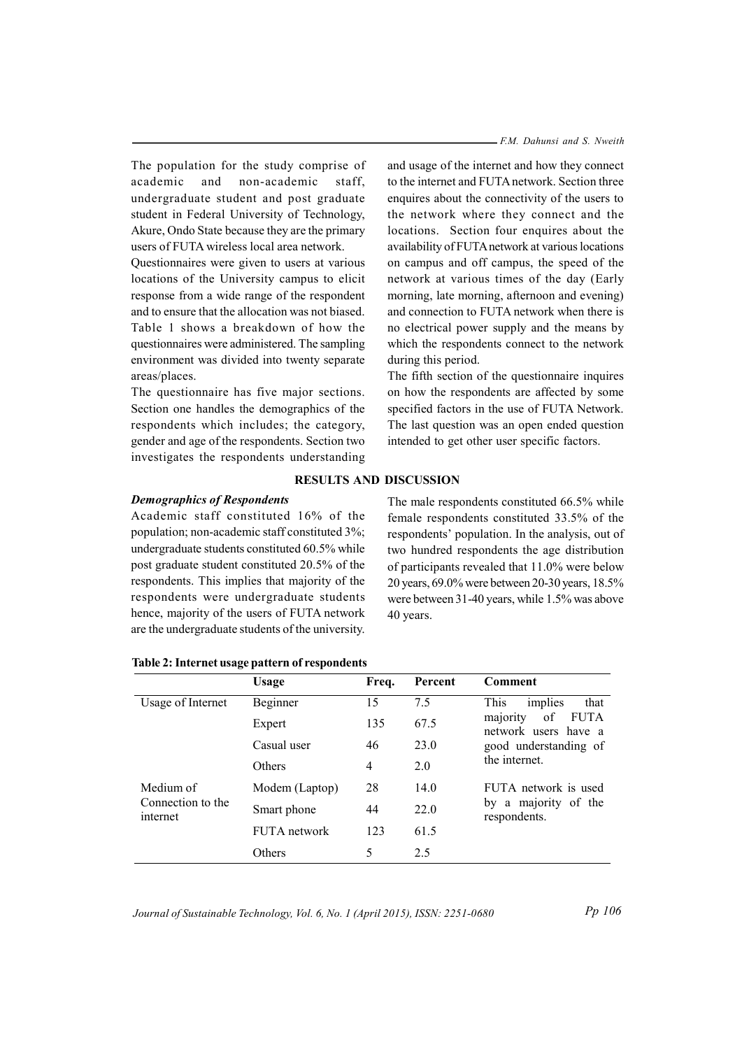The population for the study comprise of academic and non-academic staff. undergraduate student and post graduate student in Federal University of Technology, Akure, Ondo State because they are the primary users of FUTA wireless local area network.

Questionnaires were given to users at various locations of the University campus to elicit response from a wide range of the respondent and to ensure that the allocation was not biased. Table 1 shows a breakdown of how the questionnaires were administered. The sampling environment was divided into twenty separate areas/places.

The questionnaire has five major sections. Section one handles the demographics of the respondents which includes; the category, gender and age of the respondents. Section two investigates the respondents understanding - F.M. Dahunsi and S. Nweith

and usage of the internet and how they connect to the internet and FUTA network. Section three enquires about the connectivity of the users to the network where they connect and the locations. Section four enquires about the availability of FUTA network at various locations on campus and off campus, the speed of the network at various times of the day (Early morning, late morning, afternoon and evening) and connection to FUTA network when there is no electrical power supply and the means by which the respondents connect to the network during this period.

The fifth section of the questionnaire inquires on how the respondents are affected by some specified factors in the use of FUTA Network. The last question was an open ended question intended to get other user specific factors.

# **RESULTS AND DISCUSSION**

# **Demographics of Respondents**

Academic staff constituted 16% of the population; non-academic staff constituted 3%; undergraduate students constituted 60.5% while post graduate student constituted 20.5% of the respondents. This implies that majority of the respondents were undergraduate students hence, majority of the users of FUTA network are the undergraduate students of the university.

The male respondents constituted 66.5% while female respondents constituted 33.5% of the respondents' population. In the analysis, out of two hundred respondents the age distribution of participants revealed that 11.0% were below 20 years, 69.0% were between 20-30 years, 18.5% were between 31-40 years, while 1.5% was above 40 years.

|                               | Usage          | Freq.          | Percent | Comment                                                                                                                    |
|-------------------------------|----------------|----------------|---------|----------------------------------------------------------------------------------------------------------------------------|
| Usage of Internet             | Beginner       | 15             | 7.5     | implies<br>This<br>that<br><b>FUTA</b><br>of<br>majority<br>network users have a<br>good understanding of<br>the internet. |
|                               | Expert         | 135            | 67.5    |                                                                                                                            |
|                               | Casual user    | 46             | 23.0    |                                                                                                                            |
|                               | Others         | $\overline{4}$ | 2.0     |                                                                                                                            |
| Medium of                     | Modem (Laptop) | 28             | 14.0    | FUTA network is used<br>by a majority of the<br>respondents.                                                               |
| Connection to the<br>internet | Smart phone    | 44             | 22.0    |                                                                                                                            |
|                               | FUTA network   | 123            | 61.5    |                                                                                                                            |
|                               | Others         | 5              | 2.5     |                                                                                                                            |

Table 2: Internet usage pattern of respondents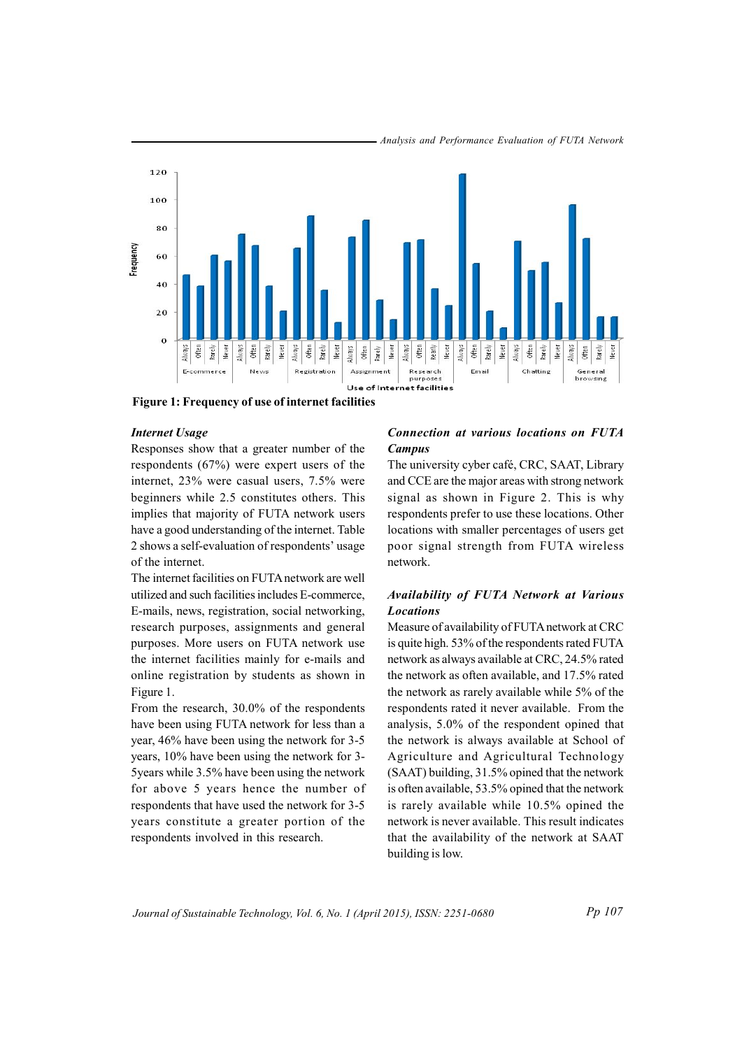

Analysis and Performance Evaluation of FUTA Network

Figure 1: Frequency of use of internet facilities

### **Internet Usage**

Responses show that a greater number of the respondents  $(67%)$  were expert users of the internet, 23% were casual users, 7.5% were beginners while 2.5 constitutes others. This implies that majority of FUTA network users have a good understanding of the internet. Table 2 shows a self-evaluation of respondents' usage of the internet.

The internet facilities on FUTA network are well utilized and such facilities includes E-commerce. E-mails, news, registration, social networking, research purposes, assignments and general purposes. More users on FUTA network use the internet facilities mainly for e-mails and online registration by students as shown in Figure 1.

From the research,  $30.0\%$  of the respondents have been using FUTA network for less than a year, 46% have been using the network for 3-5 years, 10% have been using the network for 3-5 years while 3.5% have been using the network for above 5 years hence the number of respondents that have used the network for 3-5 years constitute a greater portion of the respondents involved in this research.

## **Connection at various locations on FUTA Campus**

The university cyber café, CRC, SAAT, Library and CCE are the major areas with strong network signal as shown in Figure 2. This is why respondents prefer to use these locations. Other locations with smaller percentages of users get poor signal strength from FUTA wireless network.

# Availability of FUTA Network at Various **Locations**

Measure of availability of FUTA network at CRC is quite high. 53% of the respondents rated FUTA network as always available at CRC, 24.5% rated the network as often available, and 17.5% rated the network as rarely available while 5% of the respondents rated it never available. From the analysis, 5.0% of the respondent opined that the network is always available at School of Agriculture and Agricultural Technology (SAAT) building, 31.5% opined that the network is often available, 53.5% opined that the network is rarely available while 10.5% opined the network is never available. This result indicates that the availability of the network at SAAT building is low.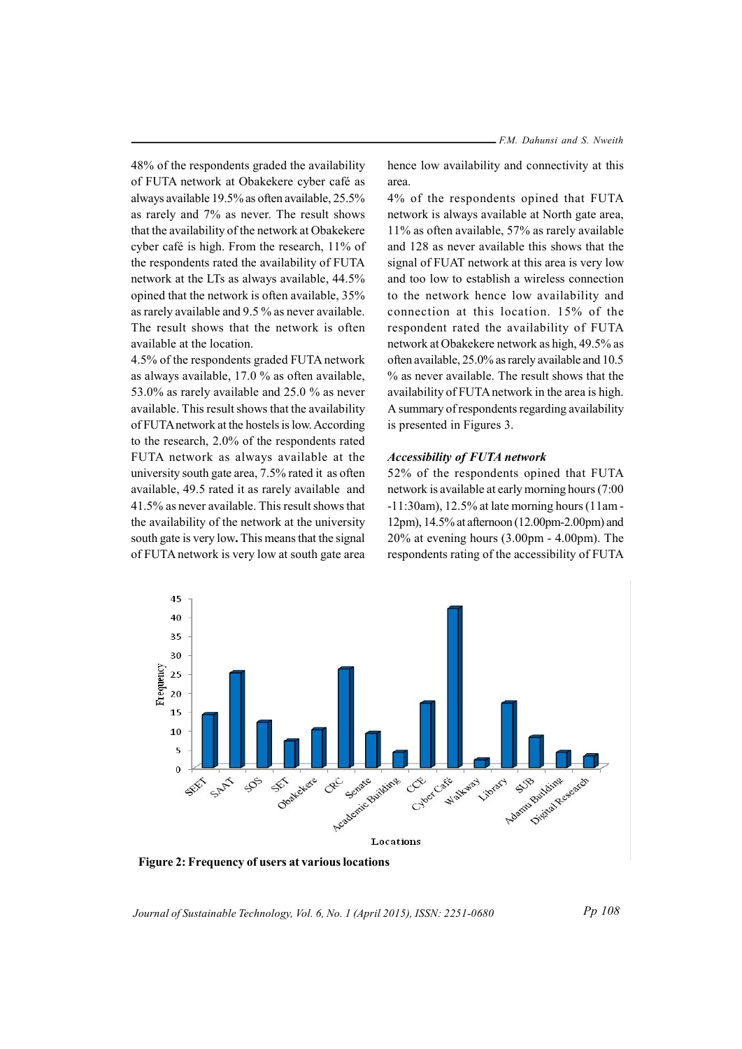48% of the respondents graded the availability of FUTA network at Obakekere cyber café as always available 19.5% as often available, 25.5% as rarely and 7% as never. The result shows that the availability of the network at Obakekere cyber café is high. From the research, 11% of the respondents rated the availability of FUTA network at the LTs as always available, 44.5% opined that the network is often available, 35% as rarely available and 9.5 % as never available. The result shows that the network is often available at the location

4.5% of the respondents graded FUTA network as always available, 17.0 % as often available, 53.0% as rarely available and 25.0 % as never available. This result shows that the availability of FUTA network at the hostels is low. According to the research, 2.0% of the respondents rated FUTA network as always available at the university south gate area, 7.5% rated it as often available, 49.5 rated it as rarely available and 41.5% as never available. This result shows that the availability of the network at the university south gate is very low. This means that the signal of FUTA network is very low at south gate area hence low availability and connectivity at this area

4% of the respondents opined that FUTA network is always available at North gate area, 11% as often available, 57% as rarely available and 128 as never available this shows that the signal of FUAT network at this area is very low and too low to establish a wireless connection to the network hence low availability and connection at this location. 15% of the respondent rated the availability of FUTA network at Obakekere network as high, 49.5% as often available, 25.0% as rarely available and 10.5 % as never available. The result shows that the availability of FUTA network in the area is high. A summary of respondents regarding availability is presented in Figures 3.

### **Accessibility of FUTA network**

52% of the respondents opined that FUTA network is available at early morning hours (7:00)  $-11:30$ am), 12.5% at late morning hours (11am -12pm), 14.5% at afternoon (12.00pm-2.00pm) and  $20\%$  at evening hours  $(3.00 \text{pm} - 4.00 \text{pm})$ . The respondents rating of the accessibility of FUTA



Figure 2: Frequency of users at various locations

Journal of Sustainable Technology, Vol. 6, No. 1 (April 2015), ISSN: 2251-0680

Pp 108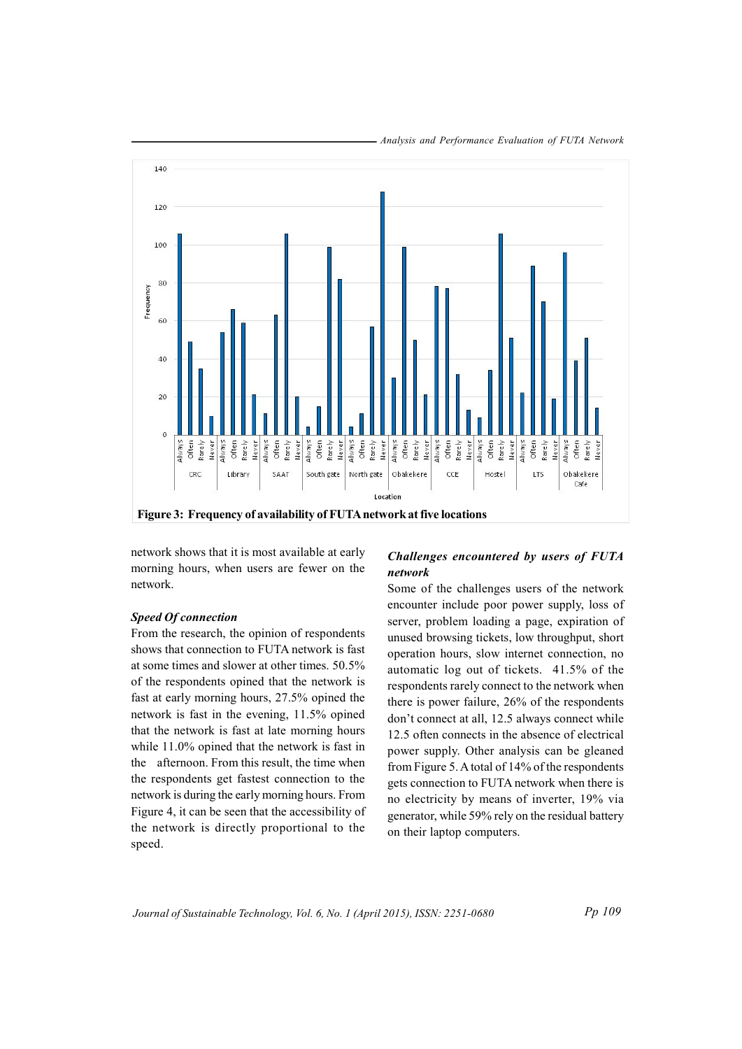

network shows that it is most available at early morning hours, when users are fewer on the network.

# **Speed Of connection**

From the research, the opinion of respondents shows that connection to FUTA network is fast at some times and slower at other times. 50.5% of the respondents opined that the network is fast at early morning hours, 27.5% opined the network is fast in the evening, 11.5% opined that the network is fast at late morning hours while 11.0% opined that the network is fast in the afternoon. From this result, the time when the respondents get fastest connection to the network is during the early morning hours. From Figure 4, it can be seen that the accessibility of the network is directly proportional to the speed.

# Challenges encountered by users of FUTA network

Some of the challenges users of the network encounter include poor power supply, loss of server, problem loading a page, expiration of unused browsing tickets, low throughput, short operation hours, slow internet connection, no automatic log out of tickets. 41.5% of the respondents rarely connect to the network when there is power failure, 26% of the respondents don't connect at all, 12.5 always connect while 12.5 often connects in the absence of electrical power supply. Other analysis can be gleaned from Figure 5. A total of 14% of the respondents gets connection to FUTA network when there is no electricity by means of inverter, 19% via generator, while 59% rely on the residual battery on their laptop computers.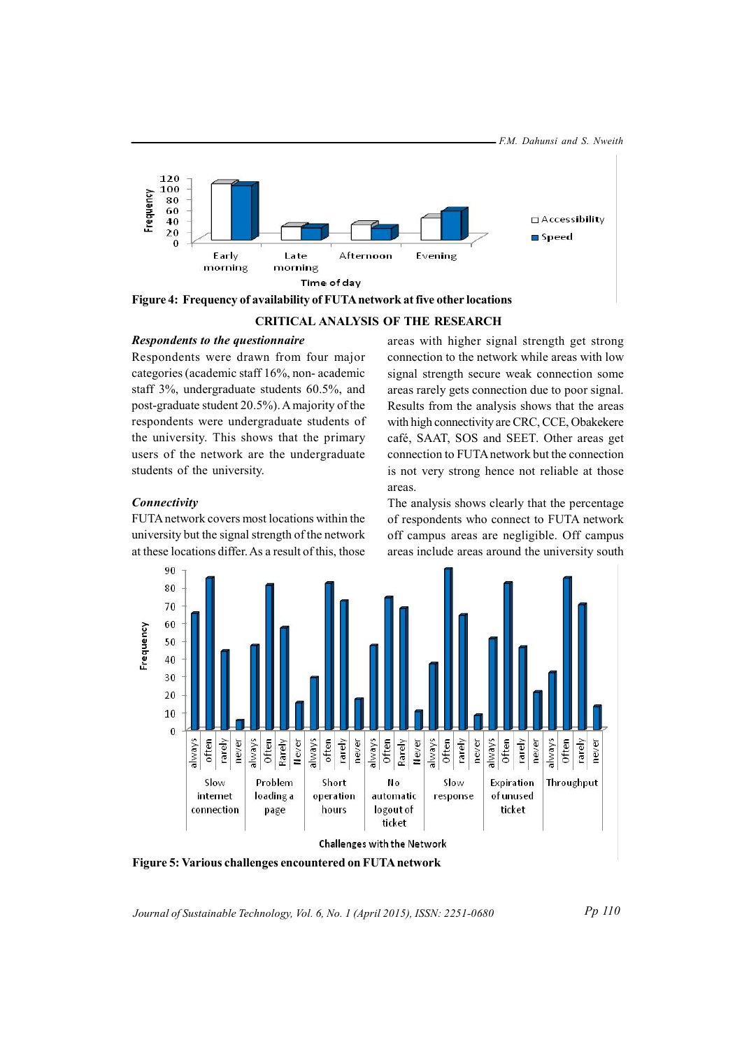

Figure 4: Frequency of availability of FUTA network at five other locations

#### **CRITICAL ANALYSIS OF THE RESEARCH**

#### Respondents to the questionnaire

Respondents were drawn from four major categories (academic staff 16%, non-academic staff 3%, undergraduate students 60.5%, and post-graduate student 20.5%). A majority of the respondents were undergraduate students of the university. This shows that the primary users of the network are the undergraduate students of the university.

areas with higher signal strength get strong connection to the network while areas with low signal strength secure weak connection some areas rarely gets connection due to poor signal. Results from the analysis shows that the areas with high connectivity are CRC, CCE, Obakekere café, SAAT, SOS and SEET. Other areas get connection to FUTA network but the connection is not very strong hence not reliable at those areas.

#### Connectivity

FUTA network covers most locations within the university but the signal strength of the network at these locations differ. As a result of this, those The analysis shows clearly that the percentage of respondents who connect to FUTA network off campus areas are negligible. Off campus areas include areas around the university south



Figure 5: Various challenges encountered on FUTA network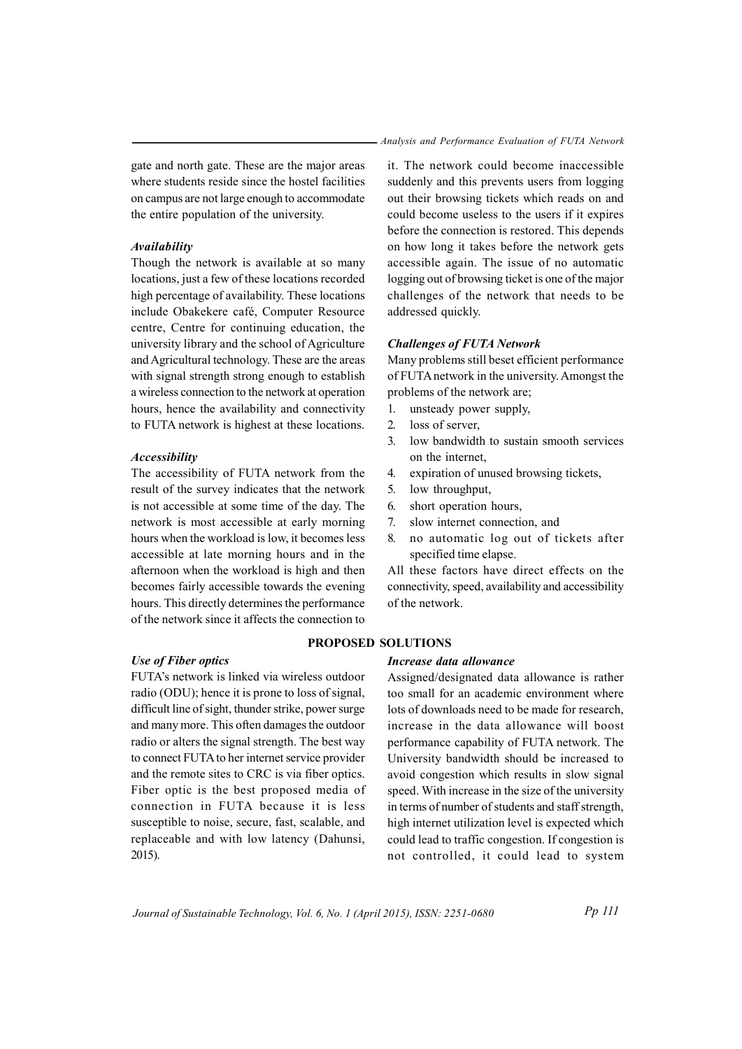gate and north gate. These are the major areas where students reside since the hostel facilities on campus are not large enough to accommodate the entire population of the university.

## Availability

Though the network is available at so many locations, just a few of these locations recorded high percentage of availability. These locations include Obakekere café, Computer Resource centre, Centre for continuing education, the university library and the school of Agriculture and Agricultural technology. These are the areas with signal strength strong enough to establish a wireless connection to the network at operation hours, hence the availability and connectivity to FUTA network is highest at these locations.

### **Accessibility**

The accessibility of FUTA network from the result of the survey indicates that the network is not accessible at some time of the day. The network is most accessible at early morning hours when the workload is low, it becomes less accessible at late morning hours and in the afternoon when the workload is high and then becomes fairly accessible towards the evening hours. This directly determines the performance of the network since it affects the connection to

#### **Use of Fiber optics**

FUTA's network is linked via wireless outdoor radio (ODU); hence it is prone to loss of signal, difficult line of sight, thunder strike, power surge and many more. This often damages the outdoor radio or alters the signal strength. The best way to connect FUTA to her internet service provider and the remote sites to CRC is via fiber optics. Fiber optic is the best proposed media of connection in FUTA because it is less susceptible to noise, secure, fast, scalable, and replaceable and with low latency (Dahunsi,  $2015$ ).

it. The network could become inaccessible suddenly and this prevents users from logging out their browsing tickets which reads on and could become useless to the users if it expires before the connection is restored. This depends on how long it takes before the network gets accessible again. The issue of no automatic logging out of browsing ticket is one of the major challenges of the network that needs to be addressed quickly.

### **Challenges of FUTA Network**

Many problems still beset efficient performance of FUTA network in the university. Amongst the problems of the network are;

- unsteady power supply.  $\mathbf{1}$
- $2.$ loss of server.
- $\overline{3}$ . low bandwidth to sustain smooth services on the internet.
- $\overline{4}$ . expiration of unused browsing tickets,
- $5<sub>1</sub>$ low throughput,
- 6. short operation hours,
- $7<sup>7</sup>$ slow internet connection, and
- 8. no automatic log out of tickets after specified time elapse.

All these factors have direct effects on the connectivity, speed, availability and accessibility of the network.

# PROPOSED SOLUTIONS

# Increase data allowance

Assigned/designated data allowance is rather too small for an academic environment where lots of downloads need to be made for research. increase in the data allowance will boost performance capability of FUTA network. The University bandwidth should be increased to avoid congestion which results in slow signal speed. With increase in the size of the university in terms of number of students and staff strength, high internet utilization level is expected which could lead to traffic congestion. If congestion is not controlled, it could lead to system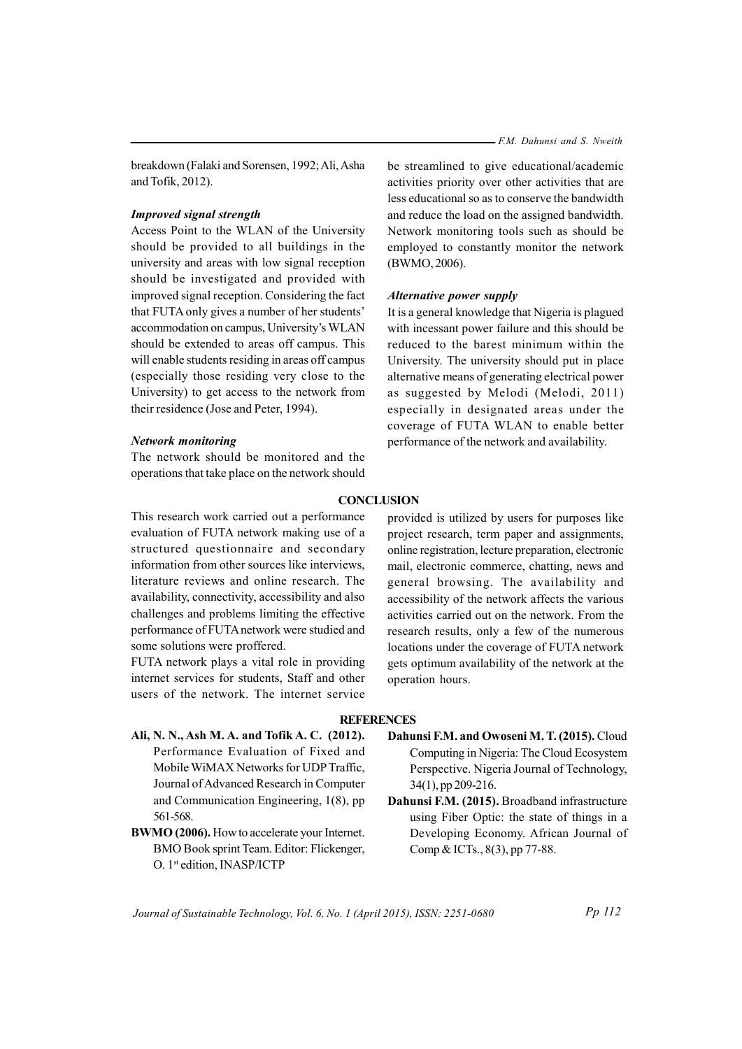breakdown (Falaki and Sorensen, 1992; Ali, Asha and Tofik, 2012).

# **Improved signal strength**

Access Point to the WLAN of the University should be provided to all buildings in the university and areas with low signal reception should be investigated and provided with improved signal reception. Considering the fact that FUTA only gives a number of her students' accommodation on campus, University's WLAN should be extended to areas off campus. This will enable students residing in areas off campus (especially those residing very close to the University) to get access to the network from their residence (Jose and Peter, 1994).

# **Network monitoring**

The network should be monitored and the operations that take place on the network should

be streamlined to give educational/academic activities priority over other activities that are less educational so as to conserve the bandwidth and reduce the load on the assigned bandwidth. Network monitoring tools such as should be employed to constantly monitor the network (BWMO, 2006).

#### Alternative power supply

It is a general knowledge that Nigeria is plagued with incessant power failure and this should be reduced to the barest minimum within the University. The university should put in place alternative means of generating electrical power as suggested by Melodi (Melodi, 2011) especially in designated areas under the coverage of FUTA WLAN to enable better performance of the network and availability.

# **CONCLUSION**

This research work carried out a performance evaluation of FUTA network making use of a structured questionnaire and secondary information from other sources like interviews, literature reviews and online research. The availability, connectivity, accessibility and also challenges and problems limiting the effective performance of FUTA network were studied and some solutions were proffered.

FUTA network plays a vital role in providing internet services for students, Staff and other users of the network. The internet service provided is utilized by users for purposes like project research, term paper and assignments, online registration, lecture preparation, electronic mail, electronic commerce, chatting, news and general browsing. The availability and accessibility of the network affects the various activities carried out on the network. From the research results, only a few of the numerous locations under the coverage of FUTA network gets optimum availability of the network at the operation hours.

## **REFERENCES**

- Ali, N. N., Ash M. A. and Tofik A. C. (2012). Performance Evaluation of Fixed and Mobile WiMAX Networks for UDP Traffic, Journal of Advanced Research in Computer and Communication Engineering,  $1(8)$ , pp 561-568.
- BWMO (2006). How to accelerate your Internet. BMO Book sprint Team. Editor: Flickenger, O. 1st edition, INASP/ICTP
- Dahunsi F.M. and Owoseni M.T. (2015). Cloud Computing in Nigeria: The Cloud Ecosystem Perspective. Nigeria Journal of Technology,  $34(1)$ , pp 209-216.
- Dahunsi F.M. (2015). Broadband infrastructure using Fiber Optic: the state of things in a Developing Economy. African Journal of Comp & ICTs., 8(3), pp 77-88.